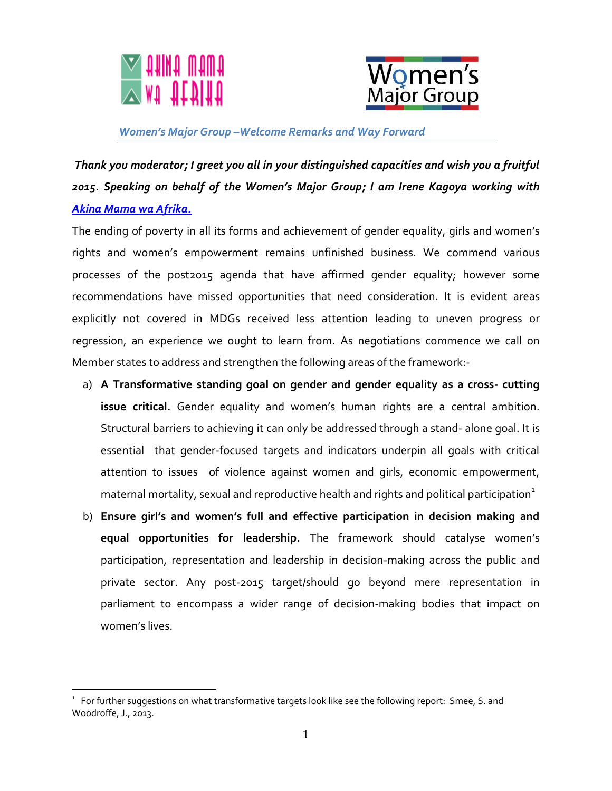



## *Women's Major Group –Welcome Remarks and Way Forward*

*Thank you moderator; I greet you all in your distinguished capacities and wish you a fruitful 2015. Speaking on behalf of the Women's Major Group; I am Irene Kagoya working with [Akina Mama wa Afrika.](http://www.akinamamawaafrika.org/)*

The ending of poverty in all its forms and achievement of gender equality, girls and women's rights and women's empowerment remains unfinished business. We commend various processes of the post2015 agenda that have affirmed gender equality; however some recommendations have missed opportunities that need consideration. It is evident areas explicitly not covered in MDGs received less attention leading to uneven progress or regression, an experience we ought to learn from. As negotiations commence we call on Member states to address and strengthen the following areas of the framework:-

- a) **A Transformative standing goal on gender and gender equality as a cross- cutting issue critical.** Gender equality and women's human rights are a central ambition. Structural barriers to achieving it can only be addressed through a stand- alone goal. It is essential that gender-focused targets and indicators underpin all goals with critical attention to issues of violence against women and girls, economic empowerment, maternal mortality, sexual and reproductive health and rights and political participation $1$
- b) **Ensure girl's and women's full and effective participation in decision making and equal opportunities for leadership.** The framework should catalyse women's participation, representation and leadership in decision-making across the public and private sector. Any post-2015 target/should go beyond mere representation in parliament to encompass a wider range of decision-making bodies that impact on women's lives.

l

 $^{\rm ^{1}}\,$  For further suggestions on what transformative targets look like see the following report:  $\,$  Smee, S. and Woodroffe, J., 2013.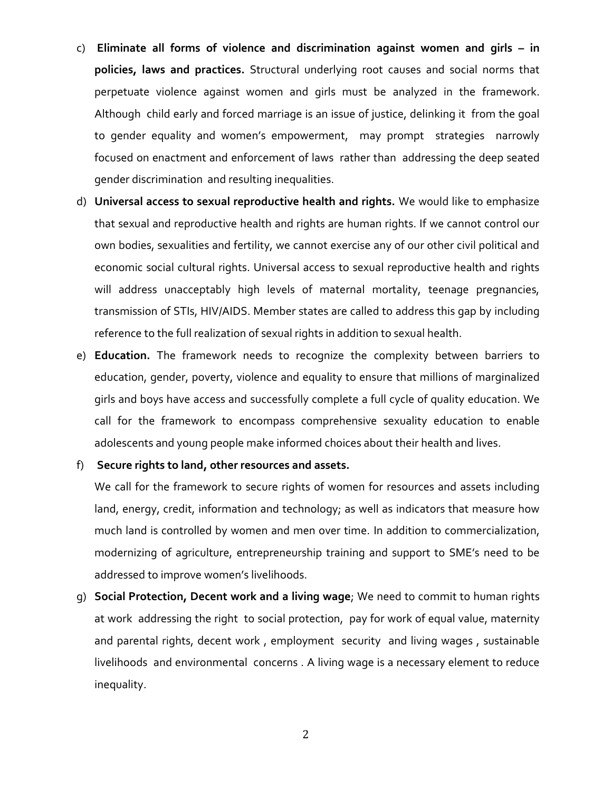- c) **Eliminate all forms of violence and discrimination against women and girls – in policies, laws and practices.** Structural underlying root causes and social norms that perpetuate violence against women and girls must be analyzed in the framework. Although child early and forced marriage is an issue of justice, delinking it from the goal to gender equality and women's empowerment, may prompt strategies narrowly focused on enactment and enforcement of laws rather than addressing the deep seated gender discrimination and resulting inequalities.
- d) **Universal access to sexual reproductive health and rights.** We would like to emphasize that sexual and reproductive health and rights are human rights. If we cannot control our own bodies, sexualities and fertility, we cannot exercise any of our other civil political and economic social cultural rights. Universal access to sexual reproductive health and rights will address unacceptably high levels of maternal mortality, teenage pregnancies, transmission of STIs, HIV/AIDS. Member states are called to address this gap by including reference to the full realization of sexual rights in addition to sexual health.
- e) **Education.** The framework needs to recognize the complexity between barriers to education, gender, poverty, violence and equality to ensure that millions of marginalized girls and boys have access and successfully complete a full cycle of quality education. We call for the framework to encompass comprehensive sexuality education to enable adolescents and young people make informed choices about their health and lives.

## f) **Secure rights to land, other resources and assets.**

We call for the framework to secure rights of women for resources and assets including land, energy, credit, information and technology; as well as indicators that measure how much land is controlled by women and men over time. In addition to commercialization, modernizing of agriculture, entrepreneurship training and support to SME's need to be addressed to improve women's livelihoods.

g) **Social Protection, Decent work and a living wage**; We need to commit to human rights at work addressing the right to social protection, pay for work of equal value, maternity and parental rights, decent work , employment security and living wages , sustainable livelihoods and environmental concerns . A living wage is a necessary element to reduce inequality.